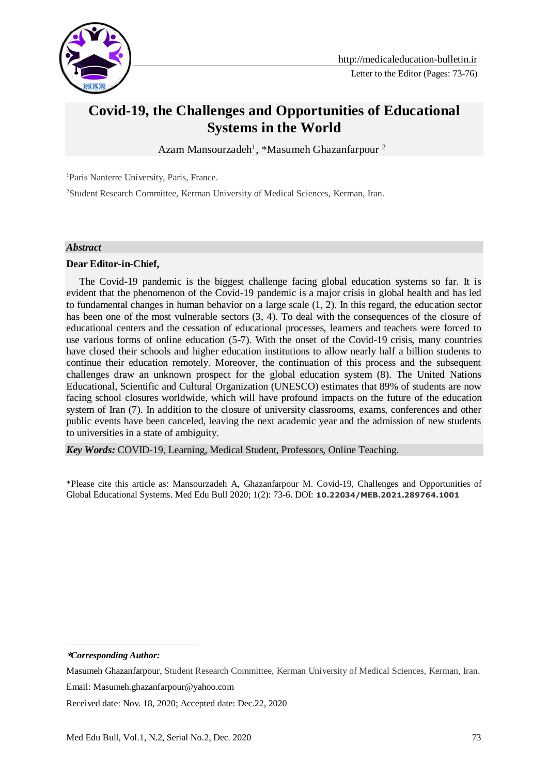

Letter to the Editor (Pages: 73-76)

# **Covid-19, the Challenges and Opportunities of Educational Systems in the World**

Azam Mansourzadeh<sup>1</sup>, \*Masumeh Ghazanfarpour<sup>2</sup>

<sup>1</sup>Paris Nanterre University, Paris, France.

<sup>2</sup>Student Research Committee, Kerman University of Medical Sciences, Kerman, Iran.

#### *Abstract*

### **Dear Editor-in-Chief,**

 The Covid-19 pandemic is the biggest challenge facing global education systems so far. It is evident that the phenomenon of the Covid-19 pandemic is a major crisis in global health and has led to fundamental changes in human behavior on a large scale (1, 2). In this regard, the education sector has been one of the most vulnerable sectors (3, 4). To deal with the consequences of the closure of educational centers and the cessation of educational processes, learners and teachers were forced to use various forms of online education (5-7). With the onset of the Covid-19 crisis, many countries have closed their schools and higher education institutions to allow nearly half a billion students to continue their education remotely. Moreover, the continuation of this process and the subsequent challenges draw an unknown prospect for the global education system (8). The United Nations Educational, Scientific and Cultural Organization (UNESCO) estimates that 89% of students are now facing school closures worldwide, which will have profound impacts on the future of the education system of Iran (7). In addition to the closure of university classrooms, exams, conferences and other public events have been canceled, leaving the next academic year and the admission of new students to universities in a state of ambiguity.

*Key Words:* COVID-19, Learning, Medical Student, Professors, Online Teaching.

\*Please cite this article as: Mansourzadeh A, Ghazanfarpour M. Covid-19, Challenges and Opportunities of Global Educational Systems. Med Edu Bull 2020; 1(2): 73-6. DOI: **10.22034/MEB.2021.289764.1001**

**\****Corresponding Author:*

-

Masumeh Ghazanfarpour, Student Research Committee, Kerman University of Medical Sciences, Kerman, Iran. Email: Masumeh.ghazanfarpour@yahoo.com

Received date: Nov. 18, 2020; Accepted date: Dec.22, 2020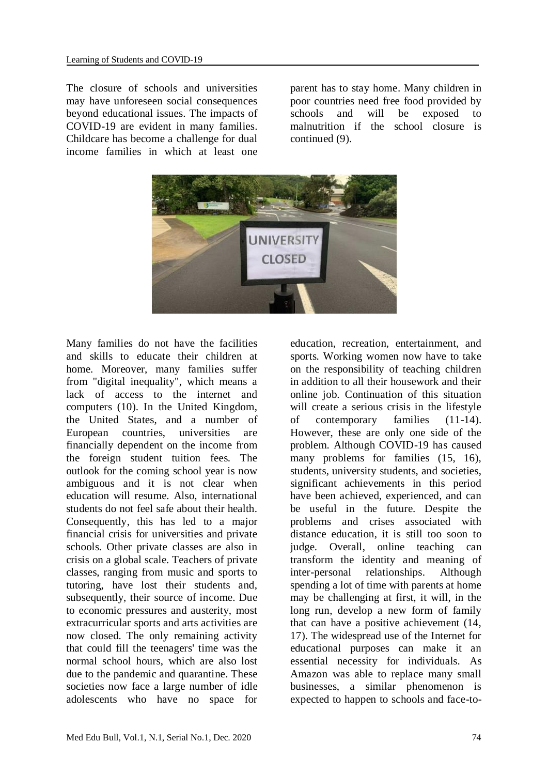The closure of schools and universities may have unforeseen social consequences beyond educational issues. The impacts of COVID-19 are evident in many families. Childcare has become a challenge for dual income families in which at least one

parent has to stay home. Many children in poor countries need free food provided by schools and will be exposed to malnutrition if the school closure is continued (9).



Many families do not have the facilities and skills to educate their children at home. Moreover, many families suffer from "digital inequality", which means a lack of access to the internet and computers (10). In the United Kingdom, the United States, and a number of European countries, universities are financially dependent on the income from the foreign student tuition fees. The outlook for the coming school year is now ambiguous and it is not clear when education will resume. Also, international students do not feel safe about their health. Consequently, this has led to a major financial crisis for universities and private schools. Other private classes are also in crisis on a global scale. Teachers of private classes, ranging from music and sports to tutoring, have lost their students and, subsequently, their source of income. Due to economic pressures and austerity, most extracurricular sports and arts activities are now closed. The only remaining activity that could fill the teenagers' time was the normal school hours, which are also lost due to the pandemic and quarantine. These societies now face a large number of idle adolescents who have no space for

education, recreation, entertainment, and sports. Working women now have to take on the responsibility of teaching children in addition to all their housework and their online job. Continuation of this situation will create a serious crisis in the lifestyle of contemporary families (11-14). However, these are only one side of the problem. Although COVID-19 has caused many problems for families  $(15, 16)$ , students, university students, and societies, significant achievements in this period have been achieved, experienced, and can be useful in the future. Despite the problems and crises associated with distance education, it is still too soon to judge. Overall, online teaching can transform the identity and meaning of inter-personal relationships. Although spending a lot of time with parents at home may be challenging at first, it will, in the long run, develop a new form of family that can have a positive achievement (14, 17). The widespread use of the Internet for educational purposes can make it an essential necessity for individuals. As Amazon was able to replace many small businesses, a similar phenomenon is expected to happen to schools and face-to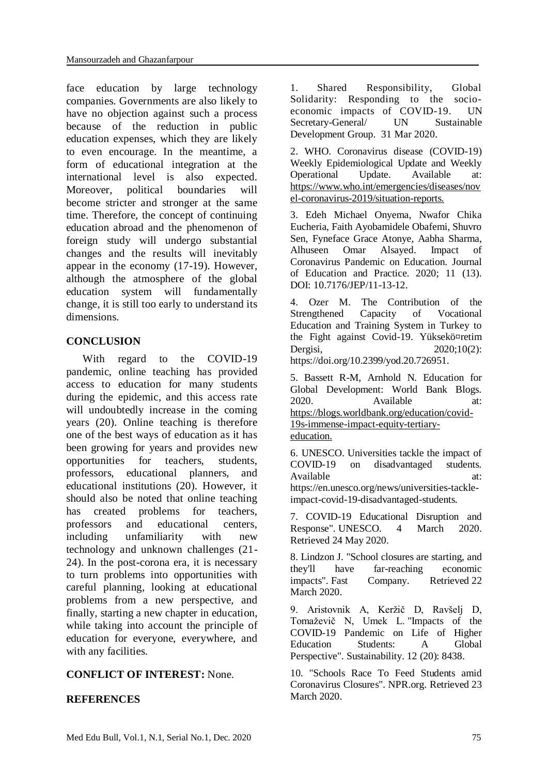face education by large technology companies. Governments are also likely to have no objection against such a process because of the reduction in public education expenses, which they are likely to even encourage. In the meantime, a form of educational integration at the international level is also expected. Moreover, political boundaries will become stricter and stronger at the same time. Therefore, the concept of continuing education abroad and the phenomenon of foreign study will undergo substantial changes and the results will inevitably appear in the economy (17-19). However, although the atmosphere of the global education system will fundamentally change, it is still too early to understand its dimensions.

## **CONCLUSION**

 With regard to the COVID-19 pandemic, online teaching has provided access to education for many students during the epidemic, and this access rate will undoubtedly increase in the coming years (20). Online teaching is therefore one of the best ways of education as it has been growing for years and provides new opportunities for teachers, students, professors, educational planners, and educational institutions (20). However, it should also be noted that online teaching has created problems for teachers, professors and educational centers, including unfamiliarity with new technology and unknown challenges (21- 24). In the post-corona era, it is necessary to turn problems into opportunities with careful planning, looking at educational problems from a new perspective, and finally, starting a new chapter in education, while taking into account the principle of education for everyone, everywhere, and with any facilities.

### **CONFLICT OF INTEREST:** None.

### **REFERENCES**

1. Shared Responsibility, Global Solidarity: Responding to the socioeconomic impacts of COVID-19. [UN](https://reliefweb.int/organization/un-sg)  [Secretary-General/](https://reliefweb.int/organization/un-sg) [UN Sustainable](https://reliefweb.int/organization/unsdg)  [Development Group.](https://reliefweb.int/organization/unsdg) 31 Mar 2020.

2. WHO. Coronavirus disease (COVID-19) Weekly Epidemiological Update and Weekly Operational Update. Available at: [https://www.who.int/emergencies/diseases/nov](https://www.who.int/emergencies/diseases/novel-coronavirus-2019/situation-reports) [el-coronavirus-2019/situation-reports.](https://www.who.int/emergencies/diseases/novel-coronavirus-2019/situation-reports)

3. Edeh Michael Onyema, Nwafor Chika Eucheria, Faith Ayobamidele Obafemi, Shuvro Sen, Fyneface Grace Atonye, Aabha Sharma, Alhuseen Omar Alsayed. Impact of Coronavirus Pandemic on Education. Journal of Education and Practice. 2020; 11 (13). DOI: 10.7176/JEP/11-13-12.

4. Ozer M. The Contribution of the Strengthened Capacity of Vocational Education and Training System in Turkey to the Fight against Covid-19. Yüksekö¤retim Dergisi, 2020;10(2): [https://doi.org/10.2399/yod.20.726951.](https://doi.org/10.2399/yod.20.726951)

5. Bassett R-M, Arnhold N. Education for Global Development: World Bank Blogs. 2020. Available at: [https://blogs.worldbank.org/education/covid-](https://blogs.worldbank.org/education/covid-19s-immense-impact-equity-tertiary-education)[19s-immense-impact-equity-tertiary](https://blogs.worldbank.org/education/covid-19s-immense-impact-equity-tertiary-education)[education.](https://blogs.worldbank.org/education/covid-19s-immense-impact-equity-tertiary-education)

6. UNESCO. Universities tackle the impact of COVID-19 on disadvantaged students. Available at: at: https://en.unesco.org/news/universities-tackleimpact-covid-19-disadvantaged-students.

7. [COVID-19 Educational Disruption and](https://en.unesco.org/covid19/educationresponse)  [Response".](https://en.unesco.org/covid19/educationresponse) UNESCO. 4 March 2020. Retrieved 24 May 2020.

8. Lindzon J. ["School closures are starting, and](https://www.fastcompany.com/90476445/school-closures-are-starting-and-theyll-have-far-reaching-economic-impacts)  [they'll have far-reaching economic](https://www.fastcompany.com/90476445/school-closures-are-starting-and-theyll-have-far-reaching-economic-impacts)  [impacts".](https://www.fastcompany.com/90476445/school-closures-are-starting-and-theyll-have-far-reaching-economic-impacts) Fast Company. Retrieved 22 March 2020.

9. Aristovnik A, Keržič D, Ravšelj D, Tomaževič N, Umek L. ["Impacts of the](https://doi.org/10.3390%2Fsu12208438)  [COVID-19 Pandemic](https://doi.org/10.3390%2Fsu12208438) on Life of Higher [Education Students: A Global](https://doi.org/10.3390%2Fsu12208438)  [Perspective".](https://doi.org/10.3390%2Fsu12208438) Sustainability. 12 (20): 8438.

10. ["Schools Race To Feed Students amid](https://www.npr.org/2020/03/20/818300504/schools-race-to-feed-students-amid-coronavirus-closures)  [Coronavirus Closures".](https://www.npr.org/2020/03/20/818300504/schools-race-to-feed-students-amid-coronavirus-closures) NPR.org. Retrieved 23 March 2020.